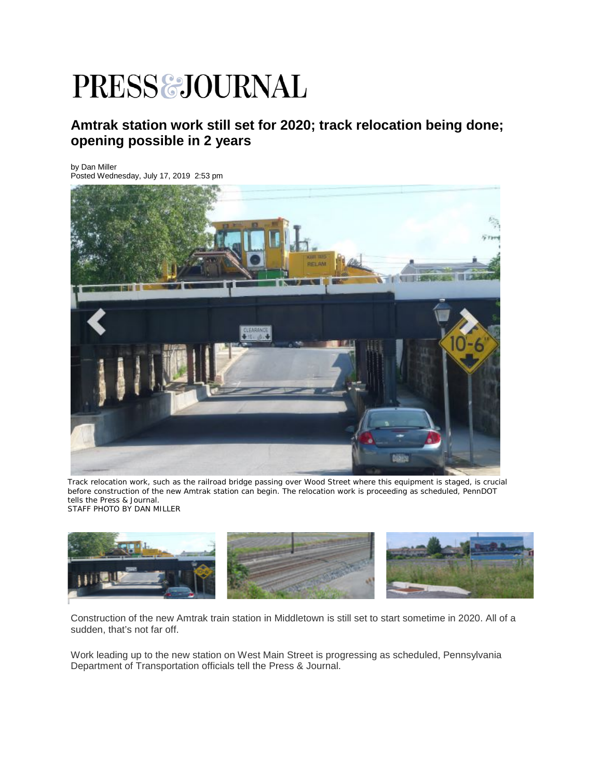## **PRESS&JOURNAL**

## **Amtrak station work still set for 2020; track relocation being done; opening possible in 2 years**

by Dan Miller

Posted Wednesday, July 17, 2019 2:53 pm



Track relocation work, such as the railroad bridge passing over Wood Street where this equipment is staged, is crucial before construction of the new Amtrak station can begin. The relocation work is proceeding as scheduled, PennDOT tells the Press & Journal. STAFF PHOTO BY DAN MILLER



Construction of the new Amtrak train station in Middletown is still set to start sometime in 2020. All of a sudden, that's not far off.

Work leading up to the new station on West Main Street is progressing as scheduled, Pennsylvania Department of Transportation officials tell the Press & Journal.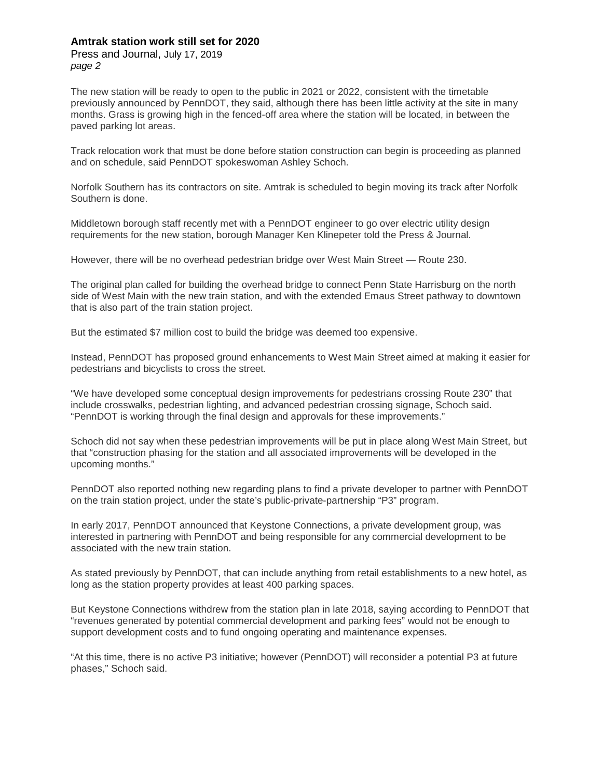## **Amtrak station work still set for 2020**

Press and Journal, July 17, 2019 *page 2*

The new station will be ready to open to the public in 2021 or 2022, consistent with the timetable previously announced by PennDOT, they said, although there has been little activity at the site in many months. Grass is growing high in the fenced-off area where the station will be located, in between the paved parking lot areas.

Track relocation work that must be done before station construction can begin is proceeding as planned and on schedule, said PennDOT spokeswoman Ashley Schoch.

Norfolk Southern has its contractors on site. Amtrak is scheduled to begin moving its track after Norfolk Southern is done.

Middletown borough staff recently met with a PennDOT engineer to go over electric utility design requirements for the new station, borough Manager Ken Klinepeter told the Press & Journal.

However, there will be no overhead pedestrian bridge over West Main Street — Route 230.

The original plan called for building the overhead bridge to connect Penn State Harrisburg on the north side of West Main with the new train station, and with the extended Emaus Street pathway to downtown that is also part of the train station project.

But the estimated \$7 million cost to build the bridge was deemed too expensive.

Instead, PennDOT has proposed ground enhancements to West Main Street aimed at making it easier for pedestrians and bicyclists to cross the street.

"We have developed some conceptual design improvements for pedestrians crossing Route 230" that include crosswalks, pedestrian lighting, and advanced pedestrian crossing signage, Schoch said. "PennDOT is working through the final design and approvals for these improvements."

Schoch did not say when these pedestrian improvements will be put in place along West Main Street, but that "construction phasing for the station and all associated improvements will be developed in the upcoming months."

PennDOT also reported nothing new regarding plans to find a private developer to partner with PennDOT on the train station project, under the state's public-private-partnership "P3" program.

In early 2017, PennDOT announced that Keystone Connections, a private development group, was interested in partnering with PennDOT and being responsible for any commercial development to be associated with the new train station.

As stated previously by PennDOT, that can include anything from retail establishments to a new hotel, as long as the station property provides at least 400 parking spaces.

But Keystone Connections withdrew from the station plan in late 2018, saying according to PennDOT that "revenues generated by potential commercial development and parking fees" would not be enough to support development costs and to fund ongoing operating and maintenance expenses.

"At this time, there is no active P3 initiative; however (PennDOT) will reconsider a potential P3 at future phases," Schoch said.